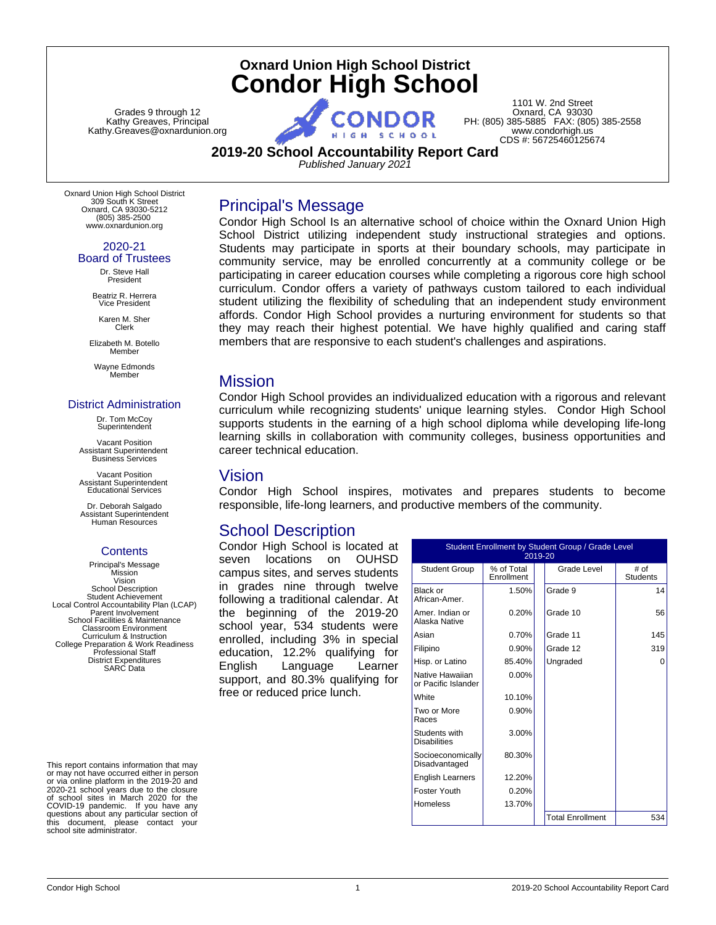# **Oxnard Union High School District Condor High School**

Grades 9 through 12 Kathy Greaves, Principal Kathy.Greaves@oxnardunion.org

1101 W. 2nd Street Oxnard, CA 93030 PH: (805) 385-5885 FAX: (805) 385-2558 www.condorhigh.us CDS #: 56725460125674

**2019-20 School Accountability Report Card**

*Published January 2021*

Oxnard Union High School District 309 South K Street Oxnard, CA 93030-5212 (805) 385-2500 www.oxnardunion.org

> 2020-21 Board of Trustees

Dr. Steve Hall President

Beatriz R. Herrera Vice President

Karen M. Sher Clerk

Elizabeth M. Botello **Member** 

Wayne Edmonds Member

#### District Administration

Dr. Tom McCoy **Superintendent** 

Vacant Position Assistant Superintendent Business Services

Vacant Position Assistant Superintendent Educational Services

Dr. Deborah Salgado Assistant Superintendent Human Resources

# **Contents**

Principal's Message Mission Vision School Description Student Achievement Local Control Accountability Plan (LCAP) Parent Involvement School Facilities & Maintenance Classroom Environment Curriculum & Instruction College Preparation & Work Readiness Professional Staff District Expenditures SARC Data

This report contains information that may or may not have occurred either in person or via online platform in the 2019-20 and 2020-21 school years due to the closure of school sites in March 2020 for the COVID-19 pandemic. If you have any questions about any particular section of this document, please contact your school site administrator.

Condor High School Is an alternative school of choice within the Oxnard Union High School District utilizing independent study instructional strategies and options. Students may participate in sports at their boundary schools, may participate in community service, may be enrolled concurrently at a community college or be participating in career education courses while completing a rigorous core high school curriculum. Condor offers a variety of pathways custom tailored to each individual student utilizing the flexibility of scheduling that an independent study environment affords. Condor High School provides a nurturing environment for students so that they may reach their highest potential. We have highly qualified and caring staff members that are responsive to each student's challenges and aspirations.

# Mission

Condor High School provides an individualized education with a rigorous and relevant curriculum while recognizing students' unique learning styles. Condor High School supports students in the earning of a high school diploma while developing life-long learning skills in collaboration with community colleges, business opportunities and career technical education.

# Vision

Condor High School inspires, motivates and prepares students to become responsible, life-long learners, and productive members of the community.

# School Description

Principal's Message

Condor High School is located at seven locations on OUHSD campus sites, and serves students in grades nine through twelve following a traditional calendar. At the beginning of the 2019-20 school year, 534 students were enrolled, including 3% in special education, 12.2% qualifying for English Language Learner support, and 80.3% qualifying for free or reduced price lunch.

| Student Enrollment by Student Group / Grade Level<br>2019-20 |                          |                         |                         |  |  |
|--------------------------------------------------------------|--------------------------|-------------------------|-------------------------|--|--|
| <b>Student Group</b>                                         | % of Total<br>Enrollment | Grade Level             | # of<br><b>Students</b> |  |  |
| Black or<br>African-Amer.                                    | 1.50%                    | Grade 9                 | 14                      |  |  |
| Amer, Indian or<br>Alaska Native                             | 0.20%                    | Grade 10                | 56                      |  |  |
| Asian                                                        | 0.70%                    | Grade 11                | 145                     |  |  |
| Filipino                                                     | 0.90%                    | Grade 12                | 319                     |  |  |
| Hisp. or Latino                                              | 85.40%                   | Ungraded                | O                       |  |  |
| Native Hawaiian<br>or Pacific Islander                       | $0.00\%$                 |                         |                         |  |  |
| White                                                        | 10.10%                   |                         |                         |  |  |
| Two or More<br>Races                                         | 0.90%                    |                         |                         |  |  |
| Students with<br><b>Disabilities</b>                         | 3.00%                    |                         |                         |  |  |
| Socioeconomically<br>Disadvantaged                           | 80.30%                   |                         |                         |  |  |
| <b>English Learners</b>                                      | 12.20%                   |                         |                         |  |  |
| Foster Youth                                                 | 0.20%                    |                         |                         |  |  |
| Homeless                                                     | 13.70%                   |                         |                         |  |  |
|                                                              |                          | <b>Total Enrollment</b> | 534                     |  |  |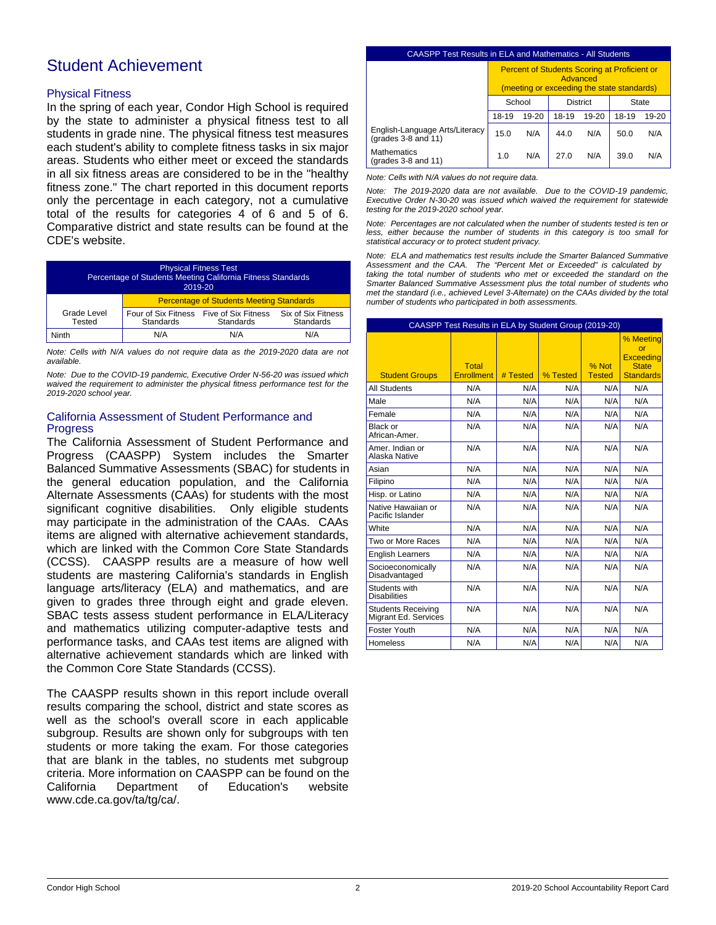# Student Achievement

### Physical Fitness

In the spring of each year, Condor High School is required by the state to administer a physical fitness test to all students in grade nine. The physical fitness test measures each student's ability to complete fitness tasks in six major areas. Students who either meet or exceed the standards in all six fitness areas are considered to be in the "healthy fitness zone." The chart reported in this document reports only the percentage in each category, not a cumulative total of the results for categories 4 of 6 and 5 of 6. Comparative district and state results can be found at the CDE's website.

| <b>Physical Fitness Test</b><br>Percentage of Students Meeting California Fitness Standards<br>2019-20 |                                                      |                                                 |                                 |  |
|--------------------------------------------------------------------------------------------------------|------------------------------------------------------|-------------------------------------------------|---------------------------------|--|
|                                                                                                        |                                                      | <b>Percentage of Students Meeting Standards</b> |                                 |  |
| Grade Level<br>Tested                                                                                  | Four of Six Fitness Five of Six Fitness<br>Standards | Standards                                       | Six of Six Fitness<br>Standards |  |
| Ninth                                                                                                  | N/A                                                  | N/A                                             | N/A                             |  |

*Note: Cells with N/A values do not require data as the 2019-2020 data are not available.*

*Note: Due to the COVID-19 pandemic, Executive Order N-56-20 was issued which waived the requirement to administer the physical fitness performance test for the 2019-2020 school year.*

### California Assessment of Student Performance and Progress

The California Assessment of Student Performance and Progress (CAASPP) System includes the Smarter Balanced Summative Assessments (SBAC) for students in the general education population, and the California Alternate Assessments (CAAs) for students with the most significant cognitive disabilities. Only eligible students may participate in the administration of the CAAs. CAAs items are aligned with alternative achievement standards, which are linked with the Common Core State Standards (CCSS). CAASPP results are a measure of how well students are mastering California's standards in English language arts/literacy (ELA) and mathematics, and are given to grades three through eight and grade eleven. SBAC tests assess student performance in ELA/Literacy and mathematics utilizing computer-adaptive tests and performance tasks, and CAAs test items are aligned with alternative achievement standards which are linked with the Common Core State Standards (CCSS).

The CAASPP results shown in this report include overall results comparing the school, district and state scores as well as the school's overall score in each applicable subgroup. Results are shown only for subgroups with ten students or more taking the exam. For those categories that are blank in the tables, no students met subgroup criteria. More information on CAASPP can be found on the California Department of Education's website www.cde.ca.gov/ta/tg/ca/.

#### CAASPP Test Results in ELA and Mathematics - All Students

|                                                            | <b>Percent of Students Scoring at Proficient or</b><br>Advanced<br>(meeting or exceeding the state standards) |           |       |           |       |       |
|------------------------------------------------------------|---------------------------------------------------------------------------------------------------------------|-----------|-------|-----------|-------|-------|
|                                                            | School<br><b>District</b><br>State                                                                            |           |       |           |       |       |
|                                                            | 18-19                                                                                                         | $19 - 20$ | 18-19 | $19 - 20$ | 18-19 | 19-20 |
| English-Language Arts/Literacy<br>(grades $3-8$ and $11$ ) | 15.0                                                                                                          | N/A       | 44.0  | N/A       | 50.0  | N/A   |
| <b>Mathematics</b><br>(grades $3-8$ and $11$ )             | 1.0                                                                                                           | N/A       | 27.0  | N/A       | 39.0  | N/A   |

*Note: Cells with N/A values do not require data.*

*Note: The 2019-2020 data are not available. Due to the COVID-19 pandemic, Executive Order N-30-20 was issued which waived the requirement for statewide testing for the 2019-2020 school year.*

*Note: Percentages are not calculated when the number of students tested is ten or less, either because the number of students in this category is too small for statistical accuracy or to protect student privacy.*

*Note: ELA and mathematics test results include the Smarter Balanced Summative Assessment and the CAA. The "Percent Met or Exceeded" is calculated by taking the total number of students who met or exceeded the standard on the Smarter Balanced Summative Assessment plus the total number of students who met the standard (i.e., achieved Level 3-Alternate) on the CAAs divided by the total number of students who participated in both assessments.*

|                                                   | CAASPP Test Results in ELA by Student Group (2019-20) |          |          |                        |                                                                         |  |  |
|---------------------------------------------------|-------------------------------------------------------|----------|----------|------------------------|-------------------------------------------------------------------------|--|--|
| <b>Student Groups</b>                             | <b>Total</b><br><b>Enrollment</b>                     | # Tested | % Tested | % Not<br><b>Tested</b> | % Meeting<br>or<br><b>Exceeding</b><br><b>State</b><br><b>Standards</b> |  |  |
| <b>All Students</b>                               | N/A                                                   | N/A      | N/A      | N/A                    | N/A                                                                     |  |  |
| Male                                              | N/A                                                   | N/A      | N/A      | N/A                    | N/A                                                                     |  |  |
| Female                                            | N/A                                                   | N/A      | N/A      | N/A                    | N/A                                                                     |  |  |
| Black or<br>African-Amer.                         | N/A                                                   | N/A      | N/A      | N/A                    | N/A                                                                     |  |  |
| Amer, Indian or<br>Alaska Native                  | N/A                                                   | N/A      | N/A      | N/A                    | N/A                                                                     |  |  |
| Asian                                             | N/A                                                   | N/A      | N/A      | N/A                    | N/A                                                                     |  |  |
| Filipino                                          | N/A                                                   | N/A      | N/A      | N/A                    | N/A                                                                     |  |  |
| Hisp. or Latino                                   | N/A                                                   | N/A      | N/A      | N/A                    | N/A                                                                     |  |  |
| Native Hawaiian or<br>Pacific Islander            | N/A                                                   | N/A      | N/A      | N/A                    | N/A                                                                     |  |  |
| White                                             | N/A                                                   | N/A      | N/A      | N/A                    | N/A                                                                     |  |  |
| Two or More Races                                 | N/A                                                   | N/A      | N/A      | N/A                    | N/A                                                                     |  |  |
| <b>English Learners</b>                           | N/A                                                   | N/A      | N/A      | N/A                    | N/A                                                                     |  |  |
| Socioeconomically<br>Disadvantaged                | N/A                                                   | N/A      | N/A      | N/A                    | N/A                                                                     |  |  |
| Students with<br><b>Disabilities</b>              | N/A                                                   | N/A      | N/A      | N/A                    | N/A                                                                     |  |  |
| <b>Students Receiving</b><br>Migrant Ed. Services | N/A                                                   | N/A      | N/A      | N/A                    | N/A                                                                     |  |  |
| Foster Youth                                      | N/A                                                   | N/A      | N/A      | N/A                    | N/A                                                                     |  |  |
| <b>Homeless</b>                                   | N/A                                                   | N/A      | N/A      | N/A                    | N/A                                                                     |  |  |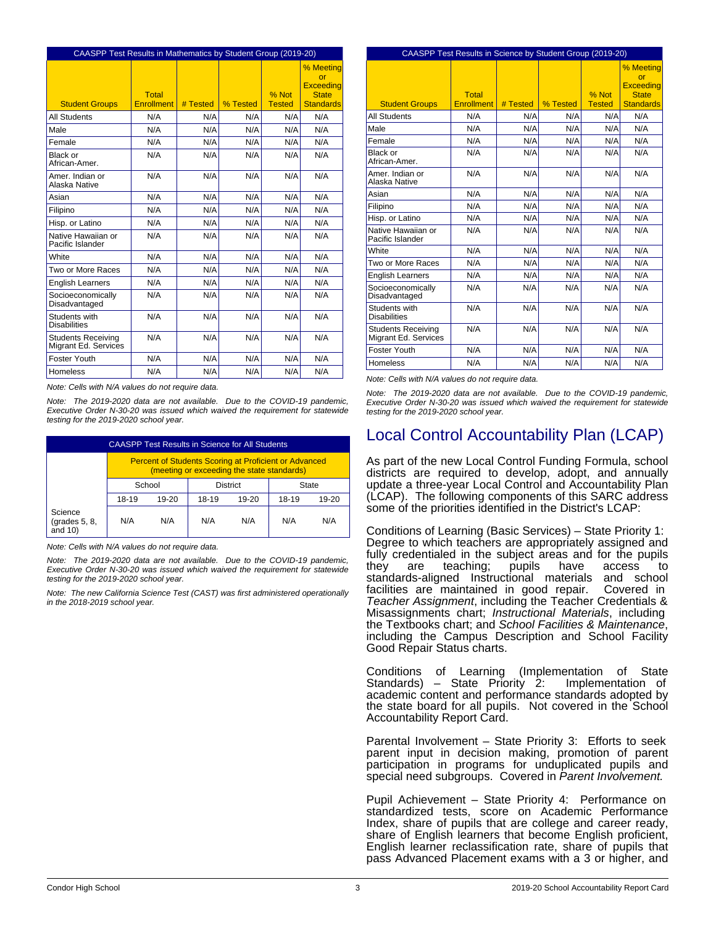|                                                   | CAASPP Test Results in Mathematics by Student Group (2019-20) |          |          |                        |                                                                         |  |  |
|---------------------------------------------------|---------------------------------------------------------------|----------|----------|------------------------|-------------------------------------------------------------------------|--|--|
| <b>Student Groups</b>                             | <b>Total</b><br><b>Enrollment</b>                             | # Tested | % Tested | % Not<br><b>Tested</b> | % Meeting<br>or<br><b>Exceeding</b><br><b>State</b><br><b>Standards</b> |  |  |
| <b>All Students</b>                               | N/A                                                           | N/A      | N/A      | N/A                    | N/A                                                                     |  |  |
| Male                                              | N/A                                                           | N/A      | N/A      | N/A                    | N/A                                                                     |  |  |
| Female                                            | N/A                                                           | N/A      | N/A      | N/A                    | N/A                                                                     |  |  |
| Black or<br>African-Amer.                         | N/A                                                           | N/A      | N/A      | N/A                    | N/A                                                                     |  |  |
| Amer, Indian or<br>Alaska Native                  | N/A                                                           | N/A      | N/A      | N/A                    | N/A                                                                     |  |  |
| Asian                                             | N/A                                                           | N/A      | N/A      | N/A                    | N/A                                                                     |  |  |
| Filipino                                          | N/A                                                           | N/A      | N/A      | N/A                    | N/A                                                                     |  |  |
| Hisp. or Latino                                   | N/A                                                           | N/A      | N/A      | N/A                    | N/A                                                                     |  |  |
| Native Hawaiian or<br>Pacific Islander            | N/A                                                           | N/A      | N/A      | N/A                    | N/A                                                                     |  |  |
| White                                             | N/A                                                           | N/A      | N/A      | N/A                    | N/A                                                                     |  |  |
| Two or More Races                                 | N/A                                                           | N/A      | N/A      | N/A                    | N/A                                                                     |  |  |
| <b>English Learners</b>                           | N/A                                                           | N/A      | N/A      | N/A                    | N/A                                                                     |  |  |
| Socioeconomically<br>Disadvantaged                | N/A                                                           | N/A      | N/A      | N/A                    | N/A                                                                     |  |  |
| Students with<br><b>Disabilities</b>              | N/A                                                           | N/A      | N/A      | N/A                    | N/A                                                                     |  |  |
| <b>Students Receiving</b><br>Migrant Ed. Services | N/A                                                           | N/A      | N/A      | N/A                    | N/A                                                                     |  |  |
| <b>Foster Youth</b>                               | N/A                                                           | N/A      | N/A      | N/A                    | N/A                                                                     |  |  |
| Homeless                                          | N/A                                                           | N/A      | N/A      | N/A                    | N/A                                                                     |  |  |

*Note: Cells with N/A values do not require data.*

*Note: The 2019-2020 data are not available. Due to the COVID-19 pandemic, Executive Order N-30-20 was issued which waived the requirement for statewide testing for the 2019-2020 school year.*

| <b>CAASPP Test Results in Science for All Students</b> |                                                                                                            |       |       |         |       |           |
|--------------------------------------------------------|------------------------------------------------------------------------------------------------------------|-------|-------|---------|-------|-----------|
|                                                        | <b>Percent of Students Scoring at Proficient or Advanced</b><br>(meeting or exceeding the state standards) |       |       |         |       |           |
|                                                        | School<br><b>District</b><br>State                                                                         |       |       |         |       |           |
|                                                        | 18-19                                                                                                      | 19-20 | 18-19 | $19-20$ | 18-19 | $19 - 20$ |
| Science<br>(grades 5, 8,<br>and $10$ )                 | N/A                                                                                                        | N/A   | N/A   | N/A     | N/A   | N/A       |

*Note: Cells with N/A values do not require data.*

*Note: The 2019-2020 data are not available. Due to the COVID-19 pandemic, Executive Order N-30-20 was issued which waived the requirement for statewide testing for the 2019-2020 school year.*

*Note: The new California Science Test (CAST) was first administered operationally in the 2018-2019 school year.*

| CAASPP Test Results in Science by Student Group (2019-20) |                            |          |          |                        |                                                                         |  |
|-----------------------------------------------------------|----------------------------|----------|----------|------------------------|-------------------------------------------------------------------------|--|
| <b>Student Groups</b>                                     | Total<br><b>Enrollment</b> | # Tested | % Tested | % Not<br><b>Tested</b> | % Meeting<br>or<br><b>Exceeding</b><br><b>State</b><br><b>Standards</b> |  |
| <b>All Students</b>                                       | N/A                        | N/A      | N/A      | N/A                    | N/A                                                                     |  |
| Male                                                      | N/A                        | N/A      | N/A      | N/A                    | N/A                                                                     |  |
| Female                                                    | N/A                        | N/A      | N/A      | N/A                    | N/A                                                                     |  |
| Black or<br>African-Amer                                  | N/A                        | N/A      | N/A      | N/A                    | N/A                                                                     |  |
| Amer, Indian or<br>Alaska Native                          | N/A                        | N/A      | N/A      | N/A                    | N/A                                                                     |  |
| Asian                                                     | N/A                        | N/A      | N/A      | N/A                    | N/A                                                                     |  |
| Filipino                                                  | N/A                        | N/A      | N/A      | N/A                    | N/A                                                                     |  |
| Hisp. or Latino                                           | N/A                        | N/A      | N/A      | N/A                    | N/A                                                                     |  |
| Native Hawaiian or<br>Pacific Islander                    | N/A                        | N/A      | N/A      | N/A                    | N/A                                                                     |  |
| White                                                     | N/A                        | N/A      | N/A      | N/A                    | N/A                                                                     |  |
| Two or More Races                                         | N/A                        | N/A      | N/A      | N/A                    | N/A                                                                     |  |
| <b>English Learners</b>                                   | N/A                        | N/A      | N/A      | N/A                    | N/A                                                                     |  |
| Socioeconomically<br>Disadvantaged                        | N/A                        | N/A      | N/A      | N/A                    | N/A                                                                     |  |
| Students with<br><b>Disabilities</b>                      | N/A                        | N/A      | N/A      | N/A                    | N/A                                                                     |  |
| <b>Students Receiving</b><br>Migrant Ed. Services         | N/A                        | N/A      | N/A      | N/A                    | N/A                                                                     |  |
| Foster Youth                                              | N/A                        | N/A      | N/A      | N/A                    | N/A                                                                     |  |
| <b>Homeless</b>                                           | N/A                        | N/A      | N/A      | N/A                    | N/A                                                                     |  |

*Note: Cells with N/A values do not require data.*

*Note: The 2019-2020 data are not available. Due to the COVID-19 pandemic, Executive Order N-30-20 was issued which waived the requirement for statewide testing for the 2019-2020 school year.*

# Local Control Accountability Plan (LCAP)

As part of the new Local Control Funding Formula, school districts are required to develop, adopt, and annually update a three-year Local Control and Accountability Plan (LCAP). The following components of this SARC address some of the priorities identified in the District's LCAP:

Conditions of Learning (Basic Services) – State Priority 1: Degree to which teachers are appropriately assigned and fully credentialed in the subject areas and for the pupils they are teaching; pupils have access to standards-aligned Instructional materials and school facilities are maintained in good repair. Covered in *Teacher Assignment*, including the Teacher Credentials & Misassignments chart; *Instructional Materials*, including the Textbooks chart; and *School Facilities & Maintenance*, including the Campus Description and School Facility Good Repair Status charts.

Conditions of Learning (Implementation of State Standards) – State Priority 2: Implementation of academic content and performance standards adopted by the state board for all pupils. Not covered in the School Accountability Report Card.

Parental Involvement – State Priority 3: Efforts to seek parent input in decision making, promotion of parent participation in programs for unduplicated pupils and special need subgroups. Covered in *Parent Involvement.*

Pupil Achievement – State Priority 4: Performance on standardized tests, score on Academic Performance Index, share of pupils that are college and career ready, share of English learners that become English proficient, English learner reclassification rate, share of pupils that pass Advanced Placement exams with a 3 or higher, and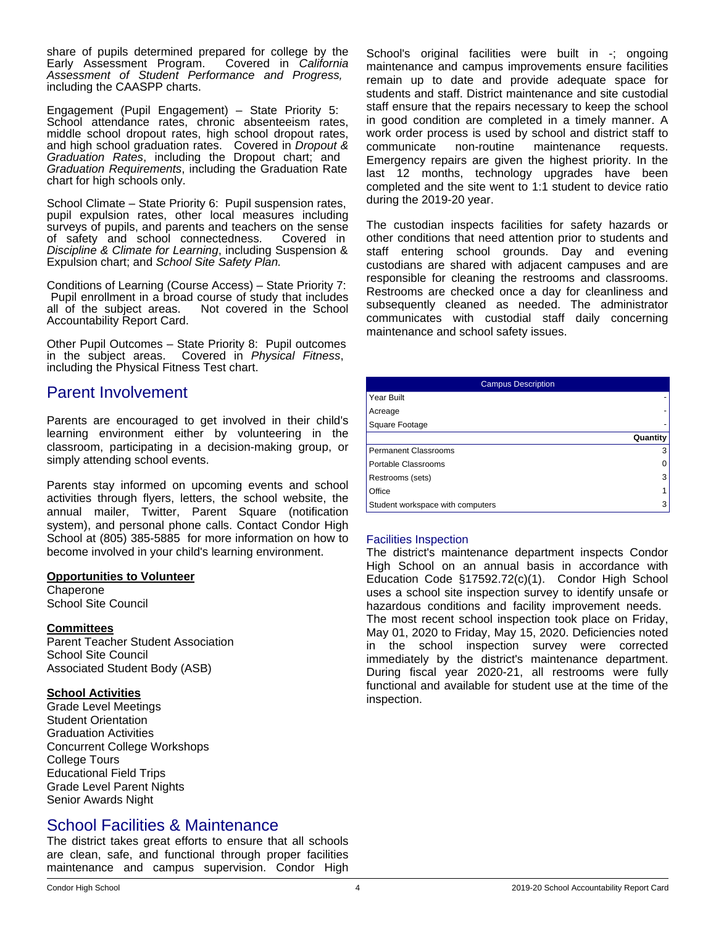share of pupils determined prepared for college by the<br>Early Assessment Program. Covered in California Early Assessment Program. *Assessment of Student Performance and Progress,* including the CAASPP charts.

Engagement (Pupil Engagement) – State Priority 5: School attendance rates, chronic absenteeism rates, middle school dropout rates, high school dropout rates, and high school graduation rates. Covered in *Dropout & Graduation Rates*, including the Dropout chart; and *Graduation Requirements*, including the Graduation Rate chart for high schools only.

School Climate – State Priority 6: Pupil suspension rates, pupil expulsion rates, other local measures including surveys of pupils, and parents and teachers on the sense of safety and school connectedness. Covered in *Discipline & Climate for Learning*, including Suspension & Expulsion chart; and *School Site Safety Plan.*

Conditions of Learning (Course Access) – State Priority 7: Pupil enrollment in a broad course of study that includes all of the subject areas. Not covered in the School Not covered in the School Accountability Report Card.

Other Pupil Outcomes – State Priority 8: Pupil outcomes in the subject areas. Covered in *Physical Fitness*, including the Physical Fitness Test chart.

# Parent Involvement

Parents are encouraged to get involved in their child's learning environment either by volunteering in the classroom, participating in a decision-making group, or simply attending school events.

Parents stay informed on upcoming events and school activities through flyers, letters, the school website, the annual mailer, Twitter, Parent Square (notification system), and personal phone calls. Contact Condor High School at (805) 385-5885 for more information on how to become involved in your child's learning environment.

### **Opportunities to Volunteer**

**Chaperone** School Site Council

### **Committees**

Parent Teacher Student Association School Site Council Associated Student Body (ASB)

# **School Activities**

Grade Level Meetings Student Orientation Graduation Activities Concurrent College Workshops College Tours Educational Field Trips Grade Level Parent Nights Senior Awards Night

# School Facilities & Maintenance

The district takes great efforts to ensure that all schools are clean, safe, and functional through proper facilities maintenance and campus supervision. Condor High School's original facilities were built in -; ongoing maintenance and campus improvements ensure facilities remain up to date and provide adequate space for students and staff. District maintenance and site custodial staff ensure that the repairs necessary to keep the school in good condition are completed in a timely manner. A work order process is used by school and district staff to communicate non-routine maintenance requests. Emergency repairs are given the highest priority. In the last 12 months, technology upgrades have been completed and the site went to 1:1 student to device ratio during the 2019-20 year.

The custodian inspects facilities for safety hazards or other conditions that need attention prior to students and staff entering school grounds. Day and evening custodians are shared with adjacent campuses and are responsible for cleaning the restrooms and classrooms. Restrooms are checked once a day for cleanliness and subsequently cleaned as needed. The administrator communicates with custodial staff daily concerning maintenance and school safety issues.

| <b>Campus Description</b>        |          |  |
|----------------------------------|----------|--|
| Year Built                       |          |  |
| Acreage                          |          |  |
| Square Footage                   |          |  |
|                                  | Quantity |  |
| <b>Permanent Classrooms</b>      |          |  |
| Portable Classrooms              |          |  |
| Restrooms (sets)                 | 3        |  |
| Office                           |          |  |
| Student workspace with computers |          |  |

# Facilities Inspection

The district's maintenance department inspects Condor High School on an annual basis in accordance with Education Code §17592.72(c)(1). Condor High School uses a school site inspection survey to identify unsafe or hazardous conditions and facility improvement needs. The most recent school inspection took place on Friday, May 01, 2020 to Friday, May 15, 2020. Deficiencies noted in the school inspection survey were corrected immediately by the district's maintenance department. During fiscal year 2020-21, all restrooms were fully functional and available for student use at the time of the inspection.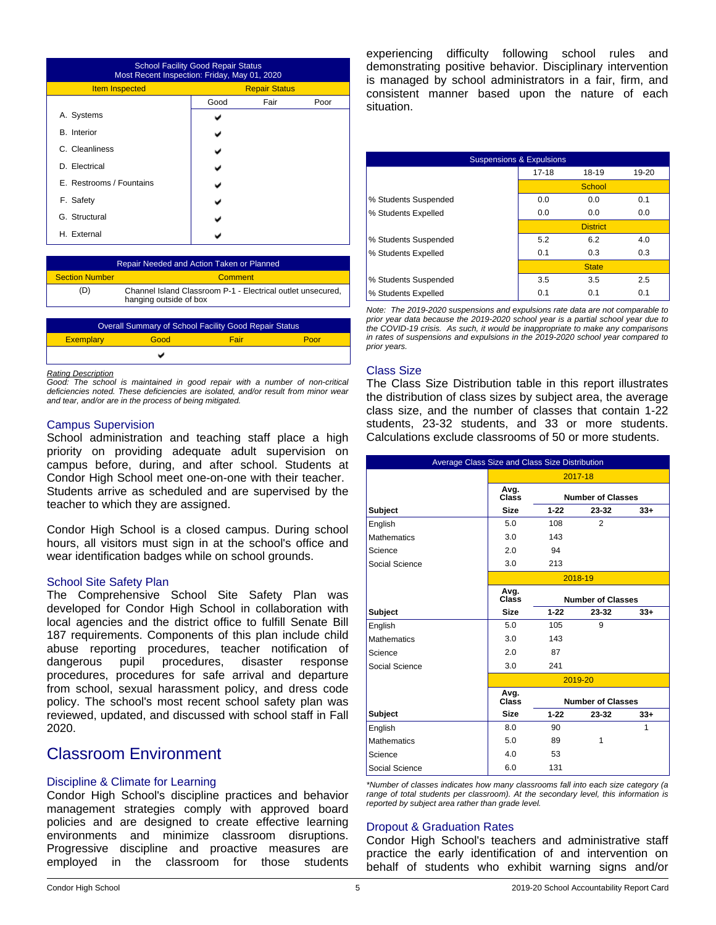| <b>School Facility Good Repair Status</b><br>Most Recent Inspection: Friday, May 01, 2020 |                      |      |      |  |  |
|-------------------------------------------------------------------------------------------|----------------------|------|------|--|--|
| <b>Item Inspected</b>                                                                     | <b>Repair Status</b> |      |      |  |  |
|                                                                                           | Good                 | Fair | Poor |  |  |
| A. Systems                                                                                |                      |      |      |  |  |
| <b>B.</b> Interior                                                                        |                      |      |      |  |  |
| C. Cleanliness                                                                            |                      |      |      |  |  |
| D. Electrical                                                                             |                      |      |      |  |  |
| E. Restrooms / Fountains                                                                  |                      |      |      |  |  |
| F. Safety                                                                                 |                      |      |      |  |  |
| G. Structural                                                                             |                      |      |      |  |  |
| H. External                                                                               |                      |      |      |  |  |

| Repair Needed and Action Taken or Planned |                                                                                       |  |  |
|-------------------------------------------|---------------------------------------------------------------------------------------|--|--|
| <b>Section Number</b>                     | Comment                                                                               |  |  |
| (D)                                       | Channel Island Classroom P-1 - Electrical outlet unsecured,<br>hanging outside of box |  |  |

| <b>Overall Summary of School Facility Good Repair Status</b> |      |      |      |  |  |
|--------------------------------------------------------------|------|------|------|--|--|
| <b>Exemplary</b>                                             | Good | Fair | Poor |  |  |
|                                                              |      |      |      |  |  |

#### *Rating Description*

*Good: The school is maintained in good repair with a number of non-critical deficiencies noted. These deficiencies are isolated, and/or result from minor wear and tear, and/or are in the process of being mitigated.*

#### Campus Supervision

School administration and teaching staff place a high priority on providing adequate adult supervision on campus before, during, and after school. Students at Condor High School meet one-on-one with their teacher. Students arrive as scheduled and are supervised by the teacher to which they are assigned.

Condor High School is a closed campus. During school hours, all visitors must sign in at the school's office and wear identification badges while on school grounds.

#### School Site Safety Plan

The Comprehensive School Site Safety Plan was developed for Condor High School in collaboration with local agencies and the district office to fulfill Senate Bill 187 requirements. Components of this plan include child abuse reporting procedures, teacher notification of dangerous pupil procedures, disaster response procedures, procedures for safe arrival and departure from school, sexual harassment policy, and dress code policy. The school's most recent school safety plan was reviewed, updated, and discussed with school staff in Fall 2020.

# Classroom Environment

### Discipline & Climate for Learning

Condor High School's discipline practices and behavior management strategies comply with approved board policies and are designed to create effective learning environments and minimize classroom disruptions. Progressive discipline and proactive measures are employed in the classroom for those students experiencing difficulty following school rules and demonstrating positive behavior. Disciplinary intervention is managed by school administrators in a fair, firm, and consistent manner based upon the nature of each situation.

| <b>Suspensions &amp; Expulsions</b> |           |                 |       |  |  |  |
|-------------------------------------|-----------|-----------------|-------|--|--|--|
|                                     | $17 - 18$ | 18-19           | 19-20 |  |  |  |
|                                     | School    |                 |       |  |  |  |
| % Students Suspended                | 0.0       | 0.0             | 0.1   |  |  |  |
| % Students Expelled                 | 0.0       | 0.0             | 0.0   |  |  |  |
|                                     |           | <b>District</b> |       |  |  |  |
| % Students Suspended                | 5.2       | 6.2             | 4.0   |  |  |  |
| % Students Expelled                 | 0.1       | 0.3             | 0.3   |  |  |  |
|                                     |           | <b>State</b>    |       |  |  |  |
| % Students Suspended                | 3.5       | 3.5             | 2.5   |  |  |  |
| % Students Expelled                 | 0.1       | 0.1             | 0.1   |  |  |  |

*Note: The 2019-2020 suspensions and expulsions rate data are not comparable to prior year data because the 2019-2020 school year is a partial school year due to the COVID-19 crisis. As such, it would be inappropriate to make any comparisons in rates of suspensions and expulsions in the 2019-2020 school year compared to prior years.*

#### Class Size

The Class Size Distribution table in this report illustrates the distribution of class sizes by subject area, the average class size, and the number of classes that contain 1-22 students, 23-32 students, and 33 or more students. Calculations exclude classrooms of 50 or more students.

| Average Class Size and Class Size Distribution |               |          |                          |       |
|------------------------------------------------|---------------|----------|--------------------------|-------|
|                                                | 2017-18       |          |                          |       |
|                                                | Avg.<br>Class |          | <b>Number of Classes</b> |       |
| Subject                                        | <b>Size</b>   | $1 - 22$ | 23-32                    | $33+$ |
| English                                        | 5.0           | 108      | $\overline{2}$           |       |
| <b>Mathematics</b>                             | 3.0           | 143      |                          |       |
| Science                                        | 2.0           | 94       |                          |       |
| Social Science                                 | 3.0           | 213      |                          |       |
|                                                |               |          | 2018-19                  |       |
|                                                | Avg.<br>Class |          | <b>Number of Classes</b> |       |
| <b>Subject</b>                                 | <b>Size</b>   | $1 - 22$ | 23-32                    | $33+$ |
| English                                        | 5.0           | 105      | 9                        |       |
| <b>Mathematics</b>                             | 3.0           | 143      |                          |       |
| Science                                        | 2.0           | 87       |                          |       |
| Social Science                                 | 3.0           | 241      |                          |       |
|                                                |               |          | 2019-20                  |       |
|                                                | Avg.<br>Class |          | <b>Number of Classes</b> |       |
| <b>Subject</b>                                 | <b>Size</b>   | $1 - 22$ | 23-32                    | $33+$ |
| English                                        | 8.0           | 90       |                          | 1     |
| <b>Mathematics</b>                             | 5.0           | 89       | 1                        |       |
| Science                                        | 4.0           | 53       |                          |       |
| Social Science                                 | 6.0           | 131      |                          |       |

*\*Number of classes indicates how many classrooms fall into each size category (a range of total students per classroom). At the secondary level, this information is reported by subject area rather than grade level.*

# Dropout & Graduation Rates

Condor High School's teachers and administrative staff practice the early identification of and intervention on behalf of students who exhibit warning signs and/or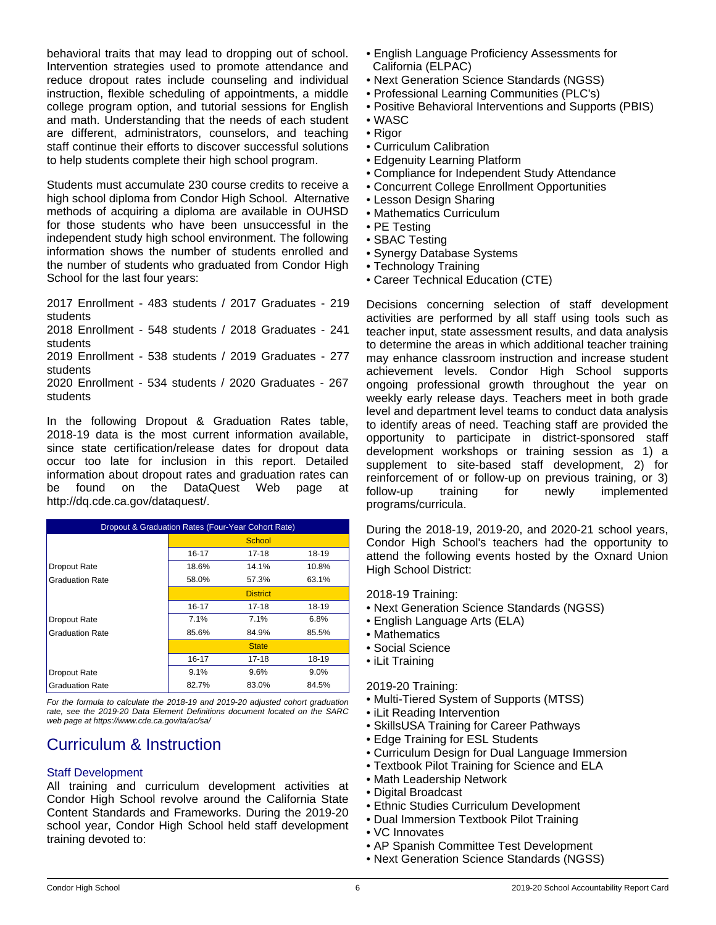behavioral traits that may lead to dropping out of school. Intervention strategies used to promote attendance and reduce dropout rates include counseling and individual instruction, flexible scheduling of appointments, a middle college program option, and tutorial sessions for English and math. Understanding that the needs of each student are different, administrators, counselors, and teaching staff continue their efforts to discover successful solutions to help students complete their high school program.

Students must accumulate 230 course credits to receive a high school diploma from Condor High School. Alternative methods of acquiring a diploma are available in OUHSD for those students who have been unsuccessful in the independent study high school environment. The following information shows the number of students enrolled and the number of students who graduated from Condor High School for the last four years:

2017 Enrollment - 483 students / 2017 Graduates - 219 students

2018 Enrollment - 548 students / 2018 Graduates - 241 students

2019 Enrollment - 538 students / 2019 Graduates - 277 students

2020 Enrollment - 534 students / 2020 Graduates - 267 students

In the following Dropout & Graduation Rates table, 2018-19 data is the most current information available, since state certification/release dates for dropout data occur too late for inclusion in this report. Detailed information about dropout rates and graduation rates can be found on the DataQuest Web page at http://dq.cde.ca.gov/dataquest/.

| Dropout & Graduation Rates (Four-Year Cohort Rate) |                |                 |       |  |  |  |
|----------------------------------------------------|----------------|-----------------|-------|--|--|--|
|                                                    | School         |                 |       |  |  |  |
|                                                    | 16-17          | 17-18           | 18-19 |  |  |  |
| <b>Dropout Rate</b>                                | 18.6%          | 14.1%           | 10.8% |  |  |  |
| <b>Graduation Rate</b>                             | 58.0%          | 57.3%           | 63.1% |  |  |  |
|                                                    |                | <b>District</b> |       |  |  |  |
|                                                    | $16 - 17$      | 17-18           | 18-19 |  |  |  |
| Dropout Rate                                       | 7.1%           | 7.1%            | 6.8%  |  |  |  |
| <b>Graduation Rate</b>                             | 85.6%<br>84.9% |                 | 85.5% |  |  |  |
|                                                    |                | <b>State</b>    |       |  |  |  |
|                                                    | $16 - 17$      | $17 - 18$       | 18-19 |  |  |  |
| Dropout Rate                                       | 9.1%           | 9.6%            | 9.0%  |  |  |  |
| <b>Graduation Rate</b>                             | 82.7%          | 83.0%           | 84.5% |  |  |  |

*For the formula to calculate the 2018-19 and 2019-20 adjusted cohort graduation rate, see the 2019-20 Data Element Definitions document located on the SARC web page at https://www.cde.ca.gov/ta/ac/sa/*

# Curriculum & Instruction

# Staff Development

All training and curriculum development activities at Condor High School revolve around the California State Content Standards and Frameworks. During the 2019-20 school year, Condor High School held staff development training devoted to:

- English Language Proficiency Assessments for California (ELPAC)
- Next Generation Science Standards (NGSS)
- Professional Learning Communities (PLC's)
- Positive Behavioral Interventions and Supports (PBIS)
- WASC
- Rigor
- Curriculum Calibration
- Edgenuity Learning Platform
- Compliance for Independent Study Attendance
- Concurrent College Enrollment Opportunities
- Lesson Design Sharing
- Mathematics Curriculum
- PE Testing
- SBAC Testing
- Synergy Database Systems
- Technology Training
- Career Technical Education (CTE)

Decisions concerning selection of staff development activities are performed by all staff using tools such as teacher input, state assessment results, and data analysis to determine the areas in which additional teacher training may enhance classroom instruction and increase student achievement levels. Condor High School supports ongoing professional growth throughout the year on weekly early release days. Teachers meet in both grade level and department level teams to conduct data analysis to identify areas of need. Teaching staff are provided the opportunity to participate in district-sponsored staff development workshops or training session as 1) a supplement to site-based staff development, 2) for reinforcement of or follow-up on previous training, or 3) follow-up training for newly implemented programs/curricula.

During the 2018-19, 2019-20, and 2020-21 school years, Condor High School's teachers had the opportunity to attend the following events hosted by the Oxnard Union High School District:

2018-19 Training:

- Next Generation Science Standards (NGSS)
- English Language Arts (ELA)
- Mathematics
- Social Science
- iLit Training

# 2019-20 Training:

- Multi-Tiered System of Supports (MTSS)
- iLit Reading Intervention
- SkillsUSA Training for Career Pathways
- Edge Training for ESL Students
- Curriculum Design for Dual Language Immersion
- Textbook Pilot Training for Science and ELA
- Math Leadership Network
- Digital Broadcast
- Ethnic Studies Curriculum Development
- Dual Immersion Textbook Pilot Training
- VC Innovates
- AP Spanish Committee Test Development
- Next Generation Science Standards (NGSS)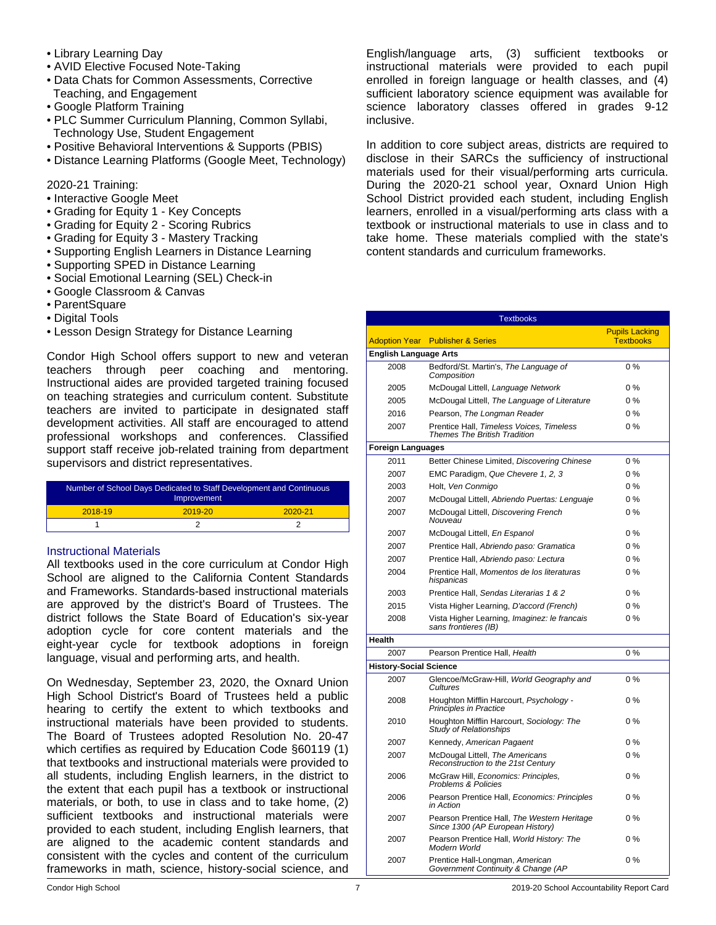- Library Learning Day
- AVID Elective Focused Note-Taking
- Data Chats for Common Assessments, Corrective Teaching, and Engagement
- Google Platform Training
- PLC Summer Curriculum Planning, Common Syllabi, Technology Use, Student Engagement
- Positive Behavioral Interventions & Supports (PBIS)
- Distance Learning Platforms (Google Meet, Technology)

2020-21 Training:

- Interactive Google Meet
- Grading for Equity 1 Key Concepts
- Grading for Equity 2 Scoring Rubrics
- Grading for Equity 3 Mastery Tracking
- Supporting English Learners in Distance Learning
- Supporting SPED in Distance Learning
- Social Emotional Learning (SEL) Check-in
- Google Classroom & Canvas
- ParentSquare
- Digital Tools
- Lesson Design Strategy for Distance Learning

Condor High School offers support to new and veteran teachers through peer coaching and mentoring. Instructional aides are provided targeted training focused on teaching strategies and curriculum content. Substitute teachers are invited to participate in designated staff development activities. All staff are encouraged to attend professional workshops and conferences. Classified support staff receive job-related training from department supervisors and district representatives.

| Number of School Days Dedicated to Staff Development and Continuous<br>Improvement |             |             |  |
|------------------------------------------------------------------------------------|-------------|-------------|--|
| $2018 - 19$                                                                        | $2019 - 20$ | $2020 - 21$ |  |
|                                                                                    |             |             |  |

### Instructional Materials

All textbooks used in the core curriculum at Condor High School are aligned to the California Content Standards and Frameworks. Standards-based instructional materials are approved by the district's Board of Trustees. The district follows the State Board of Education's six-year adoption cycle for core content materials and the eight-year cycle for textbook adoptions in foreign language, visual and performing arts, and health.

On Wednesday, September 23, 2020, the Oxnard Union High School District's Board of Trustees held a public hearing to certify the extent to which textbooks and instructional materials have been provided to students. The Board of Trustees adopted Resolution No. 20-47 which certifies as required by Education Code §60119 (1) that textbooks and instructional materials were provided to all students, including English learners, in the district to the extent that each pupil has a textbook or instructional materials, or both, to use in class and to take home, (2) sufficient textbooks and instructional materials were provided to each student, including English learners, that are aligned to the academic content standards and consistent with the cycles and content of the curriculum frameworks in math, science, history-social science, and

English/language arts, (3) sufficient textbooks or instructional materials were provided to each pupil enrolled in foreign language or health classes, and (4) sufficient laboratory science equipment was available for science laboratory classes offered in grades 9-12 inclusive.

In addition to core subject areas, districts are required to disclose in their SARCs the sufficiency of instructional materials used for their visual/performing arts curricula. During the 2020-21 school year, Oxnard Union High School District provided each student, including English learners, enrolled in a visual/performing arts class with a textbook or instructional materials to use in class and to take home. These materials complied with the state's content standards and curriculum frameworks.

| <b>Textbooks</b>              |                                                                                 |                                           |  |  |
|-------------------------------|---------------------------------------------------------------------------------|-------------------------------------------|--|--|
|                               | <b>Adoption Year</b> Publisher & Series                                         | <b>Pupils Lacking</b><br><b>Textbooks</b> |  |  |
| <b>English Language Arts</b>  |                                                                                 |                                           |  |  |
| 2008                          | Bedford/St. Martin's, The Language of<br>Composition                            | 0%                                        |  |  |
| 2005                          | McDougal Littell, Language Network                                              | $0\%$                                     |  |  |
| 2005                          | McDougal Littell, The Language of Literature                                    | $0\%$                                     |  |  |
| 2016                          | Pearson, The Longman Reader                                                     | 0%                                        |  |  |
| 2007                          | Prentice Hall, Timeless Voices, Timeless<br><b>Themes The British Tradition</b> | 0%                                        |  |  |
| <b>Foreign Languages</b>      |                                                                                 |                                           |  |  |
| 2011                          | Better Chinese Limited, Discovering Chinese                                     | 0%                                        |  |  |
| 2007                          | EMC Paradigm, Que Chevere 1, 2, 3                                               | 0%                                        |  |  |
| 2003                          | Holt, Ven Conmigo                                                               | 0%                                        |  |  |
| 2007                          | McDougal Littell, Abriendo Puertas: Lenguaje                                    | 0%                                        |  |  |
| 2007                          | McDougal Littell, Discovering French<br>Nouveau                                 | $0\%$                                     |  |  |
| 2007                          | McDougal Littell, En Espanol                                                    | $0\%$                                     |  |  |
| 2007                          | Prentice Hall, Abriendo paso: Gramatica                                         | 0%                                        |  |  |
| 2007                          | Prentice Hall, Abriendo paso: Lectura                                           | 0%                                        |  |  |
| 2004                          | Prentice Hall, Momentos de los literaturas<br>hispanicas                        | 0%                                        |  |  |
| 2003                          | Prentice Hall, Sendas Literarias 1 & 2                                          | $0\%$                                     |  |  |
| 2015                          | Vista Higher Learning, D'accord (French)                                        | 0%                                        |  |  |
| 2008                          | Vista Higher Learning, Imaginez: le francais<br>sans frontieres (IB)            | 0%                                        |  |  |
| Health                        |                                                                                 |                                           |  |  |
| 2007                          | Pearson Prentice Hall, Health                                                   | 0%                                        |  |  |
| <b>History-Social Science</b> |                                                                                 |                                           |  |  |
| 2007                          | Glencoe/McGraw-Hill, World Geography and<br>Cultures                            | 0%                                        |  |  |
| 2008                          | Houghton Mifflin Harcourt, Psychology -<br>Principles in Practice               | 0%                                        |  |  |
| 2010                          | Houghton Mifflin Harcourt, Sociology: The<br>Study of Relationships             | $0\%$                                     |  |  |
| 2007                          | Kennedy, American Pagaent                                                       | $0\%$                                     |  |  |
| 2007                          | McDougal Littell, The Americans<br>Reconstruction to the 21st Century           | 0%                                        |  |  |
| 2006                          | McGraw Hill, Economics: Principles,<br>Problems & Policies                      | $0\%$                                     |  |  |
| 2006                          | Pearson Prentice Hall, Economics: Principles<br>in Action                       | $0\%$                                     |  |  |
| 2007                          | Pearson Prentice Hall, The Western Heritage<br>Since 1300 (AP European History) | 0%                                        |  |  |
| 2007                          | Pearson Prentice Hall, World History: The<br>Modern World                       | 0%                                        |  |  |
| 2007                          | Prentice Hall-Longman, American<br>Government Continuity & Change (AP           | 0%                                        |  |  |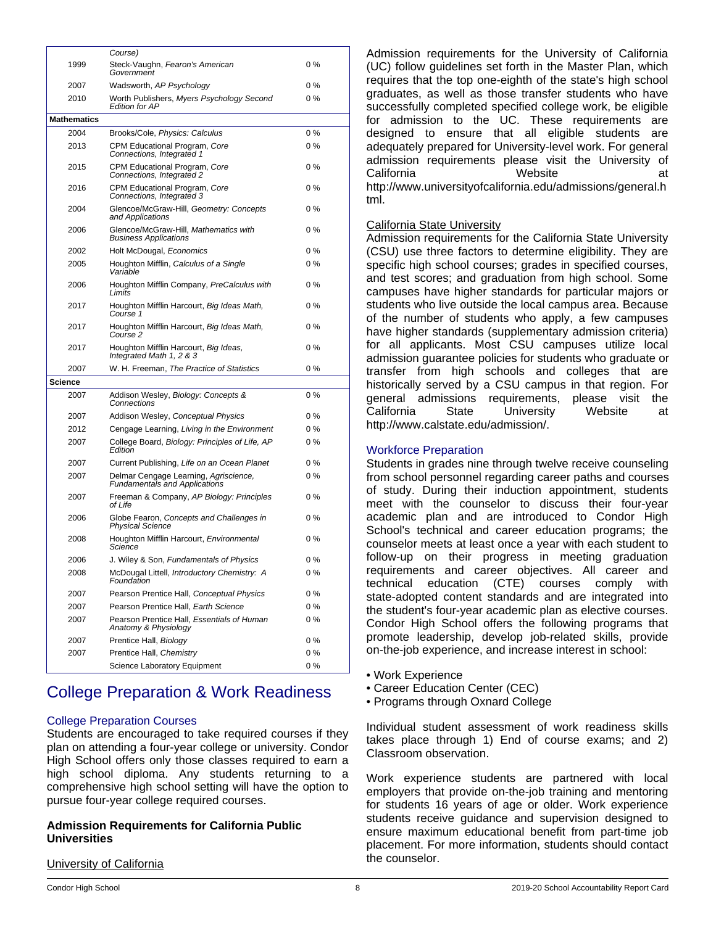| 1999               | Course)<br>Steck-Vaughn, Fearon's American<br>Government               | 0%    |
|--------------------|------------------------------------------------------------------------|-------|
| 2007               | Wadsworth, AP Psychology                                               | $0\%$ |
| 2010               | Worth Publishers, Myers Psychology Second<br><b>Edition for AP</b>     | $0\%$ |
| <b>Mathematics</b> |                                                                        |       |
| 2004               | Brooks/Cole, Physics: Calculus                                         | 0%    |
| 2013               | CPM Educational Program, Core<br>Connections, Integrated 1             | $0\%$ |
| 2015               | CPM Educational Program, Core<br>Connections, Integrated 2             | 0%    |
| 2016               | CPM Educational Program, Core<br>Connections, Integrated 3             | $0\%$ |
| 2004               | Glencoe/McGraw-Hill. Geometry: Concepts<br>and Applications            | 0%    |
| 2006               | Glencoe/McGraw-Hill, Mathematics with<br><b>Business Applications</b>  | $0\%$ |
| 2002               | Holt McDougal, Economics                                               | 0%    |
| 2005               | Houghton Mifflin, Calculus of a Single<br>Variable                     | 0%    |
| 2006               | Houghton Mifflin Company, PreCalculus with<br>Limits                   | 0%    |
| 2017               | Houghton Mifflin Harcourt, Big Ideas Math,<br>Course 1                 | 0%    |
| 2017               | Houghton Mifflin Harcourt, Big Ideas Math,<br>Course 2                 | 0%    |
| 2017               | Houghton Mifflin Harcourt, Big Ideas,<br>Integrated Math 1, 2 & 3      | 0%    |
| 2007               | W. H. Freeman, The Practice of Statistics                              | 0%    |
| <b>Science</b>     |                                                                        |       |
| 2007               | Addison Wesley, Biology: Concepts &<br>Connections                     | 0%    |
| 2007               | Addison Wesley, Conceptual Physics                                     | $0\%$ |
| 2012               | Cengage Learning, Living in the Environment                            | $0\%$ |
| 2007               | College Board, Biology: Principles of Life, AP<br>Edition              | $0\%$ |
| 2007               | Current Publishing, Life on an Ocean Planet                            | $0\%$ |
| 2007               | Delmar Cengage Learning, Agriscience,<br>Fundamentals and Applications | 0%    |
| 2007               | Freeman & Company, AP Biology: Principles<br>of Life                   | 0%    |
| 2006               | Globe Fearon, Concepts and Challenges in<br><b>Physical Science</b>    | 0%    |
| 2008               | Houghton Mifflin Harcourt, Environmental<br>Science                    | 0%    |
| 2006               | J. Wiley & Son, Fundamentals of Physics                                | 0%    |
| 2008               | McDougal Littell, Introductory Chemistry: A<br>Foundation              | 0%    |
| 2007               | Pearson Prentice Hall, Conceptual Physics                              | 0%    |
| 2007               | Pearson Prentice Hall, Earth Science                                   | 0%    |
| 2007               | Pearson Prentice Hall, Essentials of Human<br>Anatomy & Physiology     | 0%    |
| 2007               | Prentice Hall, Biology                                                 | 0%    |
| 2007               | Prentice Hall, Chemistry                                               | $0\%$ |
|                    | Science Laboratory Equipment                                           | 0%    |

# College Preparation & Work Readiness

# College Preparation Courses

Students are encouraged to take required courses if they plan on attending a four-year college or university. Condor High School offers only those classes required to earn a high school diploma. Any students returning to a comprehensive high school setting will have the option to pursue four-year college required courses.

# **Admission Requirements for California Public Universities**

Admission requirements for the University of California (UC) follow guidelines set forth in the Master Plan, which requires that the top one-eighth of the state's high school graduates, as well as those transfer students who have successfully completed specified college work, be eligible for admission to the UC. These requirements are designed to ensure that all eligible students are adequately prepared for University-level work. For general admission requirements please visit the University of California **Website** at http://www.universityofcalifornia.edu/admissions/general.h tml.

### California State University

Admission requirements for the California State University (CSU) use three factors to determine eligibility. They are specific high school courses; grades in specified courses, and test scores; and graduation from high school. Some campuses have higher standards for particular majors or students who live outside the local campus area. Because of the number of students who apply, a few campuses have higher standards (supplementary admission criteria) for all applicants. Most CSU campuses utilize local admission guarantee policies for students who graduate or transfer from high schools and colleges that are historically served by a CSU campus in that region. For general admissions requirements, please visit the<br>California State University Website at University Website at http://www.calstate.edu/admission/.

# Workforce Preparation

Students in grades nine through twelve receive counseling from school personnel regarding career paths and courses of study. During their induction appointment, students meet with the counselor to discuss their four-year academic plan and are introduced to Condor High School's technical and career education programs; the counselor meets at least once a year with each student to follow-up on their progress in meeting graduation requirements and career objectives. All career and technical education (CTE) courses comply with state-adopted content standards and are integrated into the student's four-year academic plan as elective courses. Condor High School offers the following programs that promote leadership, develop job-related skills, provide on-the-job experience, and increase interest in school:

- Work Experience
- Career Education Center (CEC)
- Programs through Oxnard College

Individual student assessment of work readiness skills takes place through 1) End of course exams; and 2) Classroom observation.

Work experience students are partnered with local employers that provide on-the-job training and mentoring for students 16 years of age or older. Work experience students receive guidance and supervision designed to ensure maximum educational benefit from part-time job placement. For more information, students should contact the counselor.

**University of California**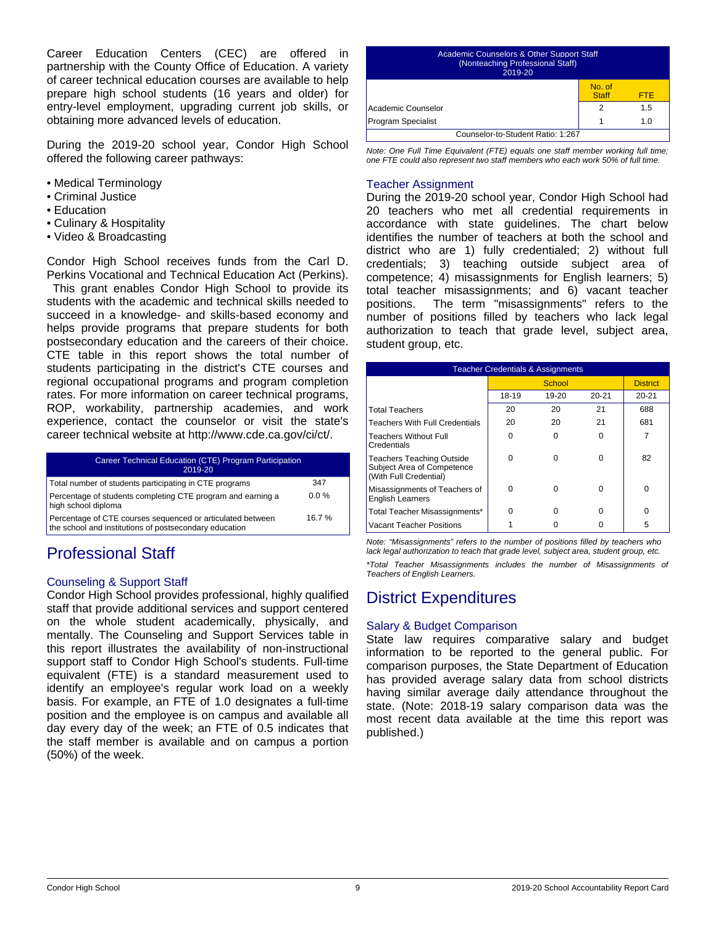Career Education Centers (CEC) are offered in partnership with the County Office of Education. A variety of career technical education courses are available to help prepare high school students (16 years and older) for entry-level employment, upgrading current job skills, or obtaining more advanced levels of education.

During the 2019-20 school year, Condor High School offered the following career pathways:

- Medical Terminology
- Criminal Justice
- Education
- Culinary & Hospitality
- Video & Broadcasting

Condor High School receives funds from the Carl D. Perkins Vocational and Technical Education Act (Perkins).

 This grant enables Condor High School to provide its students with the academic and technical skills needed to succeed in a knowledge- and skills-based economy and helps provide programs that prepare students for both postsecondary education and the careers of their choice. CTE table in this report shows the total number of students participating in the district's CTE courses and regional occupational programs and program completion rates. For more information on career technical programs, ROP, workability, partnership academies, and work experience, contact the counselor or visit the state's career technical website at http://www.cde.ca.gov/ci/ct/.

| Career Technical Education (CTE) Program Participation<br>2019-20                                                    |         |
|----------------------------------------------------------------------------------------------------------------------|---------|
| Total number of students participating in CTE programs                                                               | 347     |
| Percentage of students completing CTE program and earning a<br>high school diploma                                   | $0.0\%$ |
| Percentage of CTE courses sequenced or articulated between<br>the school and institutions of postsecondary education | 16.7%   |

# Professional Staff

# Counseling & Support Staff

Condor High School provides professional, highly qualified staff that provide additional services and support centered on the whole student academically, physically, and mentally. The Counseling and Support Services table in this report illustrates the availability of non-instructional support staff to Condor High School's students. Full-time equivalent (FTE) is a standard measurement used to identify an employee's regular work load on a weekly basis. For example, an FTE of 1.0 designates a full-time position and the employee is on campus and available all day every day of the week; an FTE of 0.5 indicates that the staff member is available and on campus a portion (50%) of the week.

| Academic Counselors & Other Support Staff<br>(Nonteaching Professional Staff)<br>2019-20 |                        |            |  |
|------------------------------------------------------------------------------------------|------------------------|------------|--|
|                                                                                          | No. of<br><b>Staff</b> | <b>FTF</b> |  |
| Academic Counselor                                                                       | 2                      | 1.5        |  |
| <b>Program Specialist</b>                                                                |                        | 1 በ        |  |
| Counselor-to-Student Ratio: 1:267                                                        |                        |            |  |

*Note: One Full Time Equivalent (FTE) equals one staff member working full time; one FTE could also represent two staff members who each work 50% of full time.*

#### Teacher Assignment

During the 2019-20 school year, Condor High School had 20 teachers who met all credential requirements in accordance with state guidelines. The chart below identifies the number of teachers at both the school and district who are 1) fully credentialed; 2) without full credentials; 3) teaching outside subject area of competence; 4) misassignments for English learners; 5) total teacher misassignments; and 6) vacant teacher positions. The term "misassignments" refers to the number of positions filled by teachers who lack legal authorization to teach that grade level, subject area, student group, etc.

| <b>Teacher Credentials &amp; Assignments</b>                                             |       |        |           |                 |
|------------------------------------------------------------------------------------------|-------|--------|-----------|-----------------|
|                                                                                          |       | School |           | <b>District</b> |
|                                                                                          | 18-19 | 19-20  | $20 - 21$ | $20 - 21$       |
| <b>Total Teachers</b>                                                                    | 20    | 20     | 21        | 688             |
| <b>Teachers With Full Credentials</b>                                                    | 20    | 20     | 21        | 681             |
| <b>Teachers Without Full</b><br>Credentials                                              | ŋ     | O      | 0         |                 |
| <b>Teachers Teaching Outside</b><br>Subject Area of Competence<br>(With Full Credential) | ŋ     | ŋ      | U         | 82              |
| Misassignments of Teachers of<br><b>English Learners</b>                                 | ŋ     | ŋ      | 0         | 0               |
| Total Teacher Misassignments*                                                            | ŋ     | ŋ      | n         | U               |
| <b>Vacant Teacher Positions</b>                                                          |       |        |           | 5               |

*Note: "Misassignments" refers to the number of positions filled by teachers who lack legal authorization to teach that grade level, subject area, student group, etc.*

*\*Total Teacher Misassignments includes the number of Misassignments of Teachers of English Learners.*

# District Expenditures

### Salary & Budget Comparison

State law requires comparative salary and budget information to be reported to the general public. For comparison purposes, the State Department of Education has provided average salary data from school districts having similar average daily attendance throughout the state. (Note: 2018-19 salary comparison data was the most recent data available at the time this report was published.)